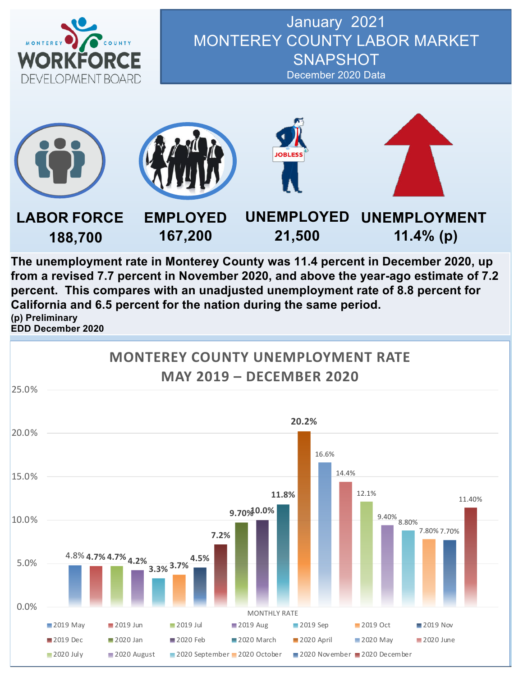

#### January 2021 MONTEREY COUNTY LABOR MARKET **SNAPSHOT** December 2020 Data



**The unemployment rate in Monterey County was 11.4 percent in December 2020, up from a revised 7.7 percent in November 2020, and above the year-ago estimate of 7.2 percent. This compares with an unadjusted unemployment rate of 8.8 percent for California and 6.5 percent for the nation during the same period. (p) Preliminary EDD December 2020**

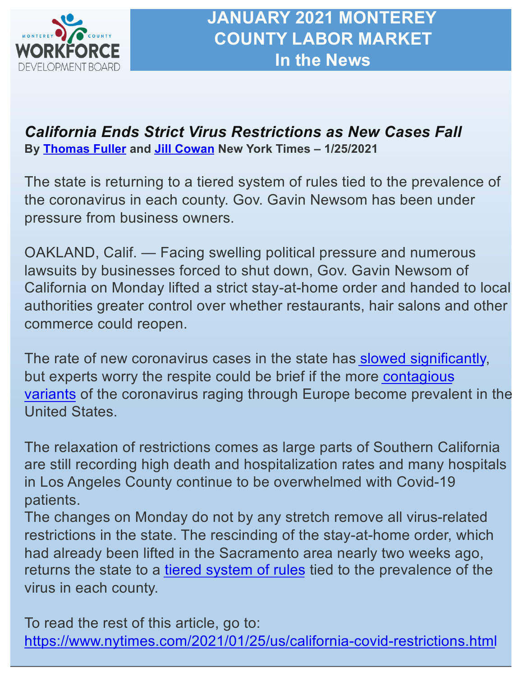

### *California Ends Strict Virus Restrictions as New Cases Fall*  **By [Thomas Fulle](https://www.nytimes.com/by/thomas-fuller)r and [Jill Cowa](https://www.nytimes.com/by/jill-cowan)n New York Times – 1/25/2021**

The state is returning to a tiered system of rules tied to the prevalence of the coronavirus in each county. Gov. Gavin Newsom has been under pressure from business owners.

OAKLAND, Calif. — Facing swelling political pressure and numerous lawsuits by businesses forced to shut down, Gov. Gavin Newsom of California on Monday lifted a strict stay-at-home order and handed to local authorities greater control over whether restaurants, hair salons and other commerce could reopen.

The rate of new coronavirus cases in the state has [slowed significantl](https://www.nytimes.com/interactive/2020/us/california-coronavirus-cases.html)y, but experts worry the respite could be brief if the more contagious variants [of the coronavirus raging through Europe become preva](https://www.nytimes.com/live/2021/01/24/world/covid-19-coronavirus/variants-threaten-to-undo-progress-in-fighting-the-virus-health-experts-warn)lent in the United States.

The relaxation of restrictions comes as large parts of Southern California are still recording high death and hospitalization rates and many hospitals in Los Angeles County continue to be overwhelmed with Covid-19 patients.

The changes on Monday do not by any stretch remove all virus-related restrictions in the state. The rescinding of the stay-at-home order, which had already been lifted in the Sacramento area nearly two weeks ago, returns the state to a [tiered system of rule](https://covid19.ca.gov/safer-economy/)s tied to the prevalence of the virus in each county.

To read the rest of this article, go to: [https://www.nytimes.com/2021/01/25/us/california-covid-restrictions.htm](https://www.nytimes.com/2021/01/25/us/california-covid-restrictions.html)l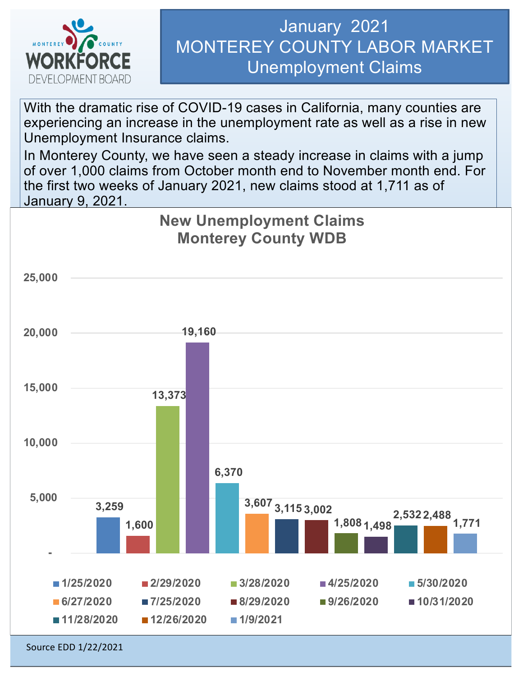

# January 2021 MONTEREY COUNTY LABOR MARKET Unemployment Claims

With the dramatic rise of COVID-19 cases in California, many counties are experiencing an increase in the unemployment rate as well as a rise in new Unemployment Insurance claims.

In Monterey County, we have seen a steady increase in claims with a jump of over 1,000 claims from October month end to November month end. For the first two weeks of January 2021, new claims stood at 1,711 as of January 9, 2021.

### **New Unemployment Claims Monterey County WDB**



Source EDD 1/22/2021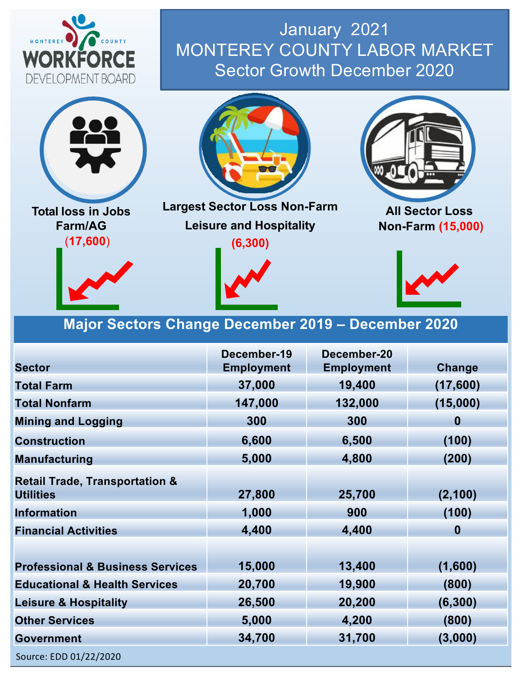

# January 2021 MONTEREY COUNTY LABOR MARKET Sector Growth December 2020



**Total loss in Jobs Farm/AG** (**17,600**)





**Largest Sector Loss Non-Farm Leisure and Hospitality (6,300)**



**All Sector Loss Non-Farm (15,000)**



### **Major Sectors Change December 2019 – December 2020**

|                                                               | December-19       | December-20       |          |  |
|---------------------------------------------------------------|-------------------|-------------------|----------|--|
| <b>Sector</b>                                                 | <b>Employment</b> | <b>Employment</b> | Change   |  |
| <b>Total Farm</b>                                             | 37,000            | 19,400            | (17,600) |  |
| <b>Total Nonfarm</b>                                          | 147,000           | 132,000           | (15,000) |  |
| <b>Mining and Logging</b>                                     | 300               | 300               | $\bf{0}$ |  |
| <b>Construction</b>                                           | 6,600             | 6,500             | (100)    |  |
| <b>Manufacturing</b>                                          | 5,000             | 4,800             | (200)    |  |
| <b>Retail Trade, Transportation &amp;</b><br><b>Utilities</b> | 27,800            | 25,700            | (2, 100) |  |
| <b>Information</b>                                            | 1,000             | 900               | (100)    |  |
| <b>Financial Activities</b>                                   | 4,400             | 4,400             | $\bf{0}$ |  |
|                                                               |                   |                   |          |  |
| <b>Professional &amp; Business Services</b>                   | 15,000            | 13,400            | (1,600)  |  |
| <b>Educational &amp; Health Services</b>                      | 20,700            | 19,900            | (800)    |  |
| <b>Leisure &amp; Hospitality</b>                              | 26,500            | 20,200            | (6, 300) |  |
| <b>Other Services</b>                                         | 5,000             | 4,200             | (800)    |  |
| <b>Government</b>                                             | 34,700            | 31,700            | (3,000)  |  |
| Source: EDD 01/22/2020                                        |                   |                   |          |  |